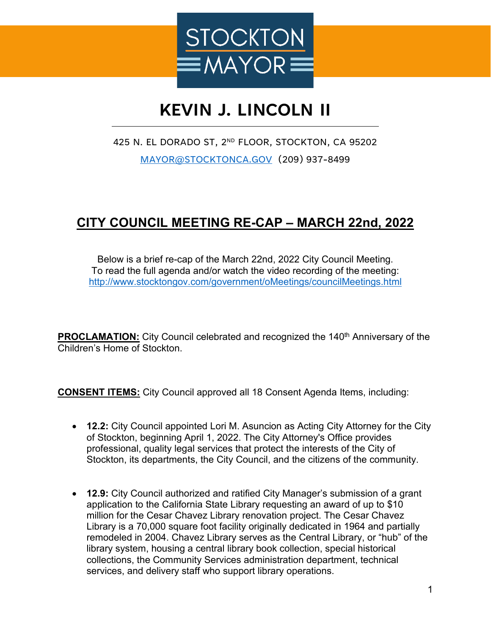

## **KEVIN J. LINCOLN II**

425 N. EL DORADO ST, 2ND FLOOR, STOCKTON, CA 95202 [MAYOR@STOCKTONCA.GOV](mailto:MAYOR@STOCKTONCA.GOV) (209) 937-8499

## **CITY COUNCIL MEETING RE-CAP – MARCH 22nd, 2022**

Below is a brief re-cap of the March 22nd, 2022 City Council Meeting. To read the full agenda and/or watch the video recording of the meeting: <http://www.stocktongov.com/government/oMeetings/councilMeetings.html>

**PROCLAMATION:** City Council celebrated and recognized the 140<sup>th</sup> Anniversary of the Children's Home of Stockton.

**CONSENT ITEMS:** City Council approved all 18 Consent Agenda Items, including:

- **12.2:** City Council appointed Lori M. Asuncion as Acting City Attorney for the City of Stockton, beginning April 1, 2022. The City Attorney's Office provides professional, quality legal services that protect the interests of the City of Stockton, its departments, the City Council, and the citizens of the community.
- **12.9:** City Council authorized and ratified City Manager's submission of a grant application to the California State Library requesting an award of up to \$10 million for the Cesar Chavez Library renovation project. The Cesar Chavez Library is a 70,000 square foot facility originally dedicated in 1964 and partially remodeled in 2004. Chavez Library serves as the Central Library, or "hub" of the library system, housing a central library book collection, special historical collections, the Community Services administration department, technical services, and delivery staff who support library operations.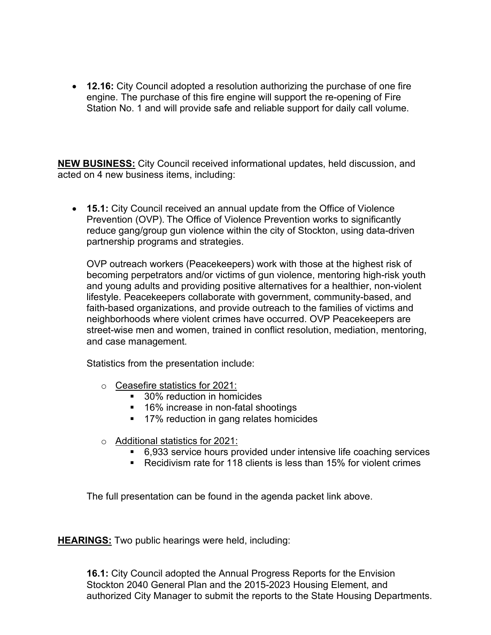• **12.16:** City Council adopted a resolution authorizing the purchase of one fire engine. The purchase of this fire engine will support the re-opening of Fire Station No. 1 and will provide safe and reliable support for daily call volume.

**NEW BUSINESS:** City Council received informational updates, held discussion, and acted on 4 new business items, including:

• **15.1:** City Council received an annual update from the Office of Violence Prevention (OVP). The Office of Violence Prevention works to significantly reduce gang/group gun violence within the city of Stockton, using data-driven partnership programs and strategies.

OVP outreach workers (Peacekeepers) work with those at the highest risk of becoming perpetrators and/or victims of gun violence, mentoring high-risk youth and young adults and providing positive alternatives for a healthier, non-violent lifestyle. Peacekeepers collaborate with government, community-based, and faith-based organizations, and provide outreach to the families of victims and neighborhoods where violent crimes have occurred. OVP Peacekeepers are street-wise men and women, trained in conflict resolution, mediation, mentoring, and case management.

Statistics from the presentation include:

- o Ceasefire statistics for 2021:
	- 30% reduction in homicides
	- 16% increase in non-fatal shootings
	- **17% reduction in gang relates homicides**
- o Additional statistics for 2021:
	- 6,933 service hours provided under intensive life coaching services
	- Recidivism rate for 118 clients is less than 15% for violent crimes

The full presentation can be found in the agenda packet link above.

**HEARINGS:** Two public hearings were held, including:

**16.1:** City Council adopted the Annual Progress Reports for the Envision Stockton 2040 General Plan and the 2015-2023 Housing Element, and authorized City Manager to submit the reports to the State Housing Departments.